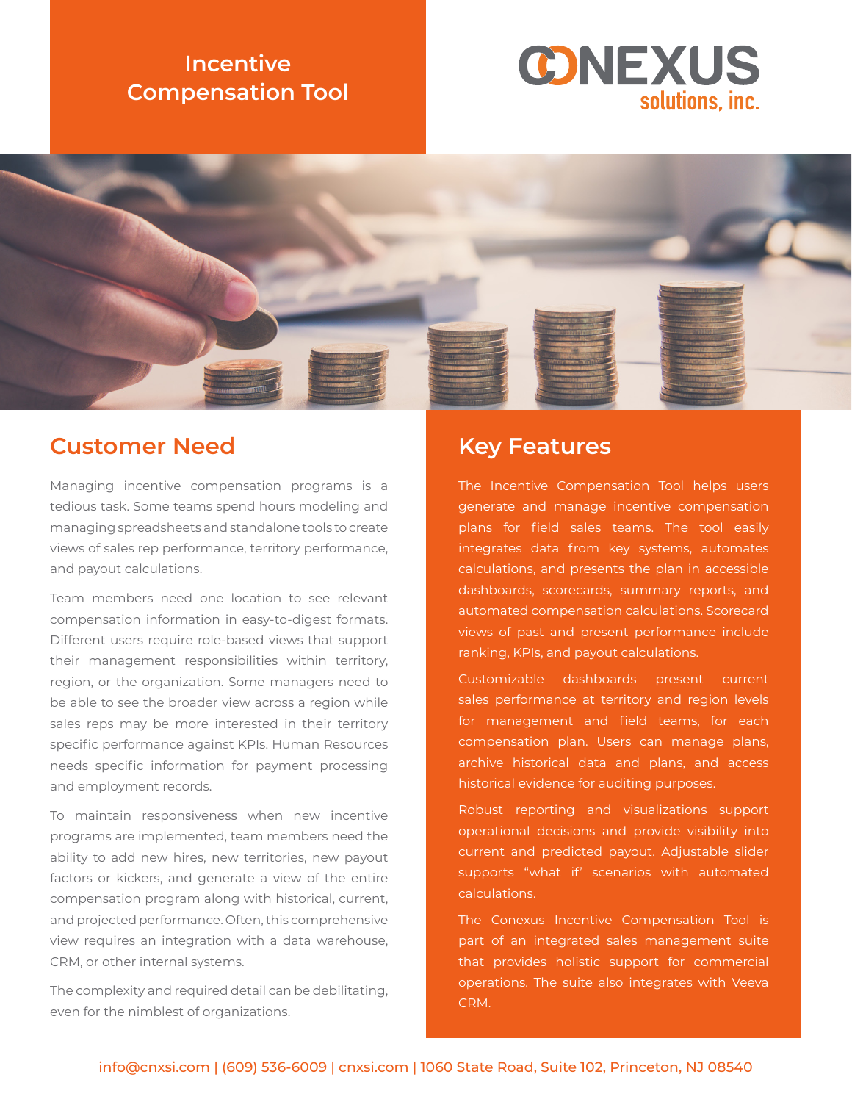# **Incentive Compensation Tool**





#### **Customer Need**

Managing incentive compensation programs is a tedious task. Some teams spend hours modeling and managing spreadsheets and standalone tools to create views of sales rep performance, territory performance, and payout calculations.

Team members need one location to see relevant compensation information in easy-to-digest formats. Different users require role-based views that support their management responsibilities within territory, region, or the organization. Some managers need to be able to see the broader view across a region while sales reps may be more interested in their territory specific performance against KPIs. Human Resources needs specific information for payment processing and employment records.

To maintain responsiveness when new incentive programs are implemented, team members need the ability to add new hires, new territories, new payout factors or kickers, and generate a view of the entire compensation program along with historical, current, and projected performance. Often, this comprehensive view requires an integration with a data warehouse, CRM, or other internal systems.

The complexity and required detail can be debilitating, even for the nimblest of organizations.

### **Key Features**

The Incentive Compensation Tool helps users generate and manage incentive compensation plans for field sales teams. The tool easily integrates data from key systems, automates calculations, and presents the plan in accessible dashboards, scorecards, summary reports, and automated compensation calculations. Scorecard views of past and present performance include ranking, KPIs, and payout calculations.

Customizable dashboards present current sales performance at territory and region levels for management and field teams, for each compensation plan. Users can manage plans, archive historical data and plans, and access historical evidence for auditing purposes.

Robust reporting and visualizations support operational decisions and provide visibility into current and predicted payout. Adjustable slider supports "what if' scenarios with automated calculations.

The Conexus Incentive Compensation Tool is part of an integrated sales management suite that provides holistic support for commercial operations. The suite also integrates with Veeva CRM.